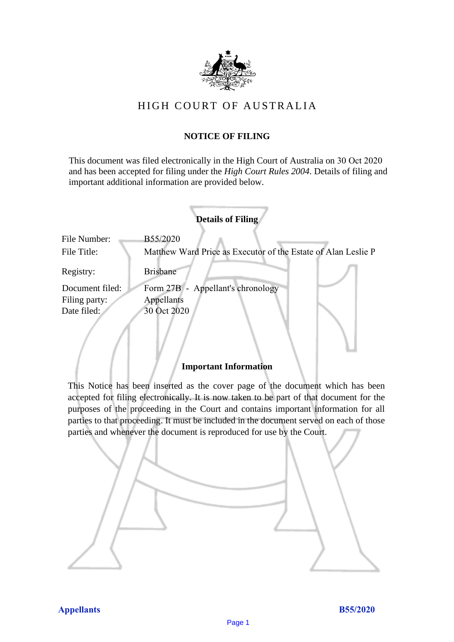

# HIGH COURT OF AU STRALIA HIGH COURT OF AUSTRALIA

# **NOTICE OF FILING** NOTICE OF FILING

This document was filed electronically in the High Court of Australia on 30 Oct 2020 This document was filed electronically in the High Court of Australia 0 and has been accepted for filing under the *High Court Rules 2004*. Details of filing and important additional information are provided below. important additional information are provided below.

| <b>Details of Filing</b>                                                     |  |
|------------------------------------------------------------------------------|--|
| File Number:<br>B55/2020                                                     |  |
| File Title:<br>Matthew Ward Price as Executor of the Estate of Alan Leslie P |  |
| Registry:<br><b>Brisbane</b>                                                 |  |
| Form 27B - Appellant's chronology<br>Document filed:                         |  |
| Filing party:<br>Appellants                                                  |  |
| Date filed:<br>30 Oct 2020                                                   |  |

### **Important Information** Important Information

This Notice has been inserted as the cover page of the document which has been accepted for filing electronically. It is now taken to be part of that document for the purposes of the proceeding in the Court and contains important information for all parties to that proceeding. It must be included in the document served on each of those parties and whenever the document is reproduced for use by the Court. parties and whenever the document is reproduced for use by the Court

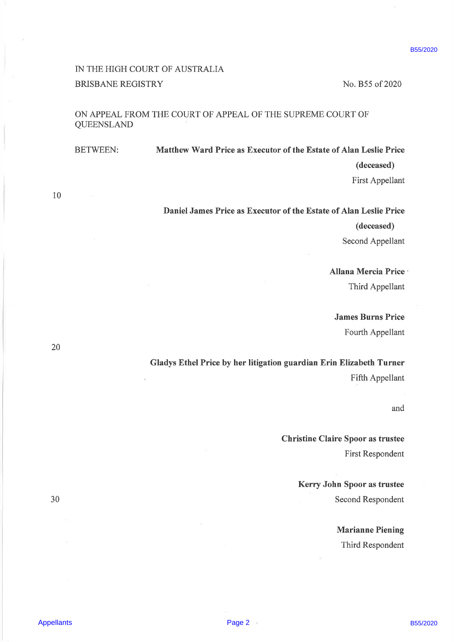## IN THE HIGH COURT OF AUSTRALIA BRISBANE REGISTRY No. B55 of 2020

### ON APPEAL FROM THE COURT OF APPEAL OF THE SUPREME COURT OF QUEENSLAND

Appellant BCOCKT OF AUSTRALIA<br>
BIKEMANE REGISTING<br>
CON APPEAL EROIN THE COURT OF THE SUPRIME COURT OF<br>
COMENTA AND DESTRUENCE ON THE SUPRIME COURT OF<br>
COMENTA AND LOT CONSIDER COURT OF COMENTA DESTRUENCE<br>
BETWEEN:<br>
BETWEEN BETWEEN: Matthew Ward Price as Executor of the Estate of Alan Leslie Price (deceased) First Appellant

10

### Daniel James Price as Executor of the Estate of Alan Leslie Price

(deceased)

Second Appellant

# Allana Mercia Price ' Third Appellant

James Burns Price Fourth Appellant

Gladys Ethel Price by her litigation guardian Erin Elizabeth Turner Fifth Appellant

and

Christine Claire Spoor as trustee First Respondent

Kerry John Spoor as trustee 30 Second Respondent

> Marianne Piening Third Respondent

Appellants **Page 2**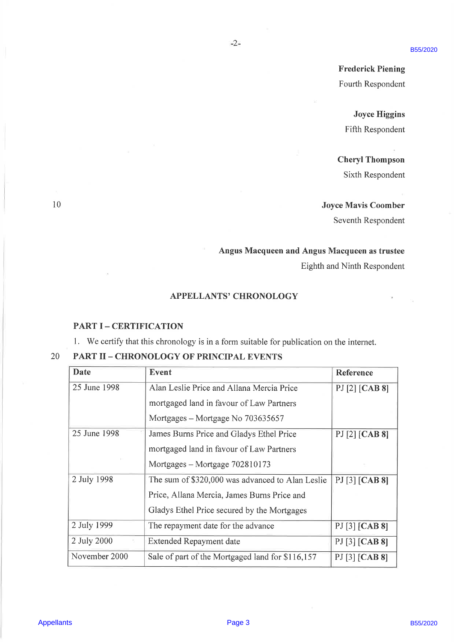B55/2020

### APPELLANTS' CHRONOLOGY

 $-2-$ 

#### PART I - CERTIFICATION

|                               |                                                                                                                            | Fourth Respondent           |
|-------------------------------|----------------------------------------------------------------------------------------------------------------------------|-----------------------------|
|                               |                                                                                                                            | <b>Joyce Higgins</b>        |
|                               |                                                                                                                            | Fifth Respondent            |
|                               |                                                                                                                            |                             |
|                               |                                                                                                                            | <b>Cheryl Thompson</b>      |
|                               |                                                                                                                            | Sixth Respondent            |
|                               |                                                                                                                            |                             |
|                               |                                                                                                                            | <b>Joyce Mavis Coomber</b>  |
|                               |                                                                                                                            | Seventh Respondent          |
|                               |                                                                                                                            |                             |
|                               | Angus Macqueen and Angus Macqueen as trustee                                                                               |                             |
|                               |                                                                                                                            | Eighth and Ninth Respondent |
|                               |                                                                                                                            |                             |
|                               |                                                                                                                            |                             |
| <b>PART I - CERTIFICATION</b> | <b>APPELLANTS' CHRONOLOGY</b><br>1. We certify that this chronology is in a form suitable for publication on the internet. |                             |
|                               | <b>PART II - CHRONOLOGY OF PRINCIPAL EVENTS</b>                                                                            |                             |
|                               | <b>Event</b>                                                                                                               | Reference                   |
|                               | Alan Leslie Price and Allana Mercia Price                                                                                  | PJ [2] [CAB 8]              |
|                               | mortgaged land in favour of Law Partners                                                                                   |                             |
| <b>Date</b><br>25 June 1998   | Mortgages - Mortgage No 703635657                                                                                          |                             |
|                               | James Burns Price and Gladys Ethel Price                                                                                   | PJ [2] [CAB 8]              |
|                               | mortgaged land in favour of Law Partners                                                                                   |                             |
| 25 June 1998<br>2 July 1998   | Mortgages - Mortgage 702810173<br>The sum of \$320,000 was advanced to Alan Leslie                                         |                             |
|                               | Price, Allana Mercia, James Burns Price and                                                                                | PJ [3] [CAB 8]              |
|                               | Gladys Ethel Price secured by the Mortgages                                                                                |                             |
| 2 July 1999                   | The repayment date for the advance                                                                                         | PJ [3] [CAB 8]              |
| 2 July 2000                   | Extended Repayment date                                                                                                    | PJ [3] [CAB 8]              |
| November 2000                 | Sale of part of the Mortgaged land for \$116,157                                                                           | PJ [3] [CAB 8]              |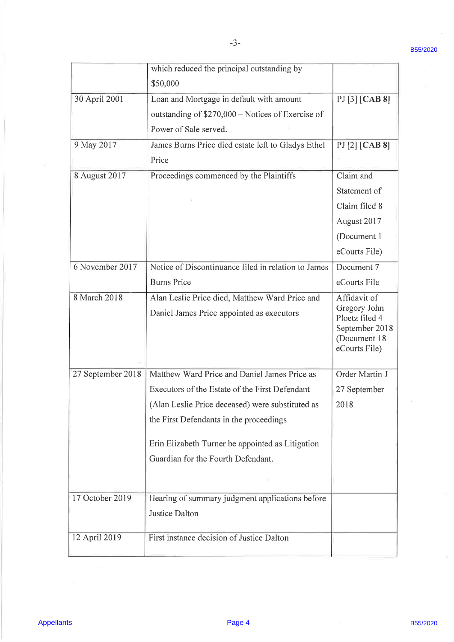|                   | which reduced the principal outstanding by          |                                |  |
|-------------------|-----------------------------------------------------|--------------------------------|--|
|                   | \$50,000                                            |                                |  |
| 30 April 2001     | Loan and Mortgage in default with amount            | PI[3] [CAB 8]                  |  |
|                   | outstanding of \$270,000 - Notices of Exercise of   |                                |  |
|                   | Power of Sale served.                               |                                |  |
| 9 May 2017        | James Burns Price died estate left to Gladys Ethel  | PJ [2] [CAB 8]                 |  |
|                   | Price                                               |                                |  |
| 8 August 2017     | Proceedings commenced by the Plaintiffs             | Claim and                      |  |
|                   |                                                     | Statement of                   |  |
|                   |                                                     | Claim filed 8                  |  |
|                   |                                                     | August 2017                    |  |
|                   |                                                     | (Document 1)                   |  |
|                   |                                                     | eCourts File)                  |  |
| 6 November 2017   | Notice of Discontinuance filed in relation to James | Document 7                     |  |
|                   | <b>Burns Price</b>                                  | eCourts File                   |  |
| 8 March 2018      | Alan Leslie Price died, Matthew Ward Price and      | Affidavit of                   |  |
|                   | Daniel James Price appointed as executors           | Gregory John<br>Ploetz filed 4 |  |
|                   |                                                     | September 2018                 |  |
|                   |                                                     | (Document 18                   |  |
|                   |                                                     | eCourts File)                  |  |
| 27 September 2018 | Matthew Ward Price and Daniel James Price as        | Order Martin J                 |  |
|                   | Executors of the Estate of the First Defendant      | 27 September                   |  |
|                   | (Alan Leslie Price deceased) were substituted as    | 2018                           |  |
|                   | the First Defendants in the proceedings             |                                |  |
|                   | Erin Elizabeth Turner be appointed as Litigation    |                                |  |
|                   | Guardian for the Fourth Defendant.                  |                                |  |
|                   |                                                     |                                |  |
| 17 October 2019   | Hearing of summary judgment applications before     |                                |  |
|                   | Justice Dalton                                      |                                |  |
|                   |                                                     |                                |  |
| 12 April 2019     | First instance decision of Justice Dalton           |                                |  |
|                   |                                                     |                                |  |
|                   |                                                     |                                |  |
|                   |                                                     |                                |  |